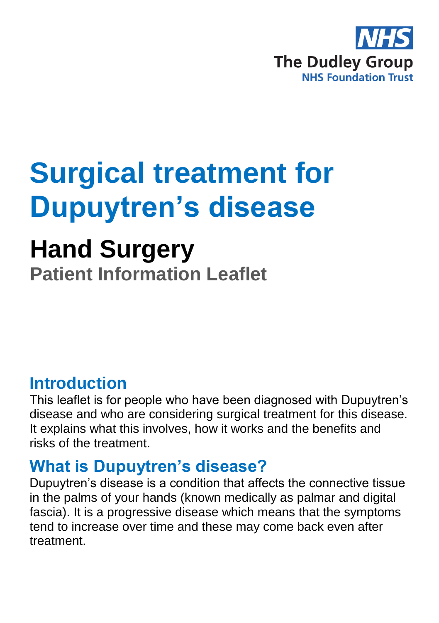

# **Surgical treatment for Dupuytren's disease**

# **Hand Surgery**

**Patient Information Leaflet**

## **Introduction**

This leaflet is for people who have been diagnosed with Dupuytren's disease and who are considering surgical treatment for this disease. It explains what this involves, how it works and the benefits and risks of the treatment.

## **What is Dupuytren's disease?**

Dupuytren's disease is a condition that affects the connective tissue in the palms of your hands (known medically as palmar and digital fascia). It is a progressive disease which means that the symptoms tend to increase over time and these may come back even after treatment.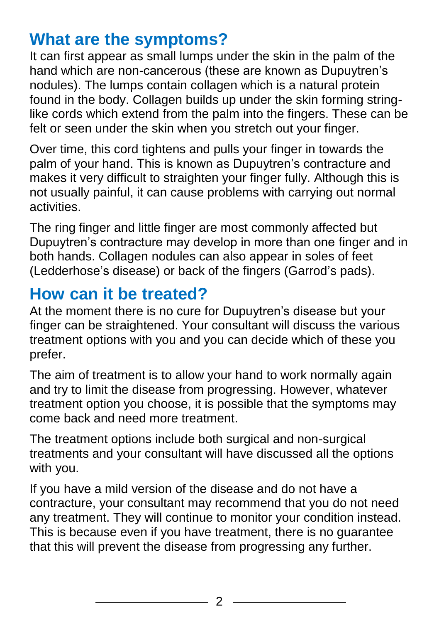# **What are the symptoms?**

It can first appear as small lumps under the skin in the palm of the hand which are non-cancerous (these are known as Dupuytren's nodules). The lumps contain collagen which is a natural protein found in the body. Collagen builds up under the skin forming stringlike cords which extend from the palm into the fingers. These can be felt or seen under the skin when you stretch out your finger.

Over time, this cord tightens and pulls your finger in towards the palm of your hand. This is known as Dupuytren's contracture and makes it very difficult to straighten your finger fully. Although this is not usually painful, it can cause problems with carrying out normal activities.

The ring finger and little finger are most commonly affected but Dupuytren's contracture may develop in more than one finger and in both hands. Collagen nodules can also appear in soles of feet (Ledderhose's disease) or back of the fingers (Garrod's pads).

# **How can it be treated?**

At the moment there is no cure for Dupuytren's disease but your finger can be straightened. Your consultant will discuss the various treatment options with you and you can decide which of these you prefer.

The aim of treatment is to allow your hand to work normally again and try to limit the disease from progressing. However, whatever treatment option you choose, it is possible that the symptoms may come back and need more treatment.

The treatment options include both surgical and non-surgical treatments and your consultant will have discussed all the options with you.

If you have a mild version of the disease and do not have a contracture, your consultant may recommend that you do not need any treatment. They will continue to monitor your condition instead. This is because even if you have treatment, there is no guarantee that this will prevent the disease from progressing any further.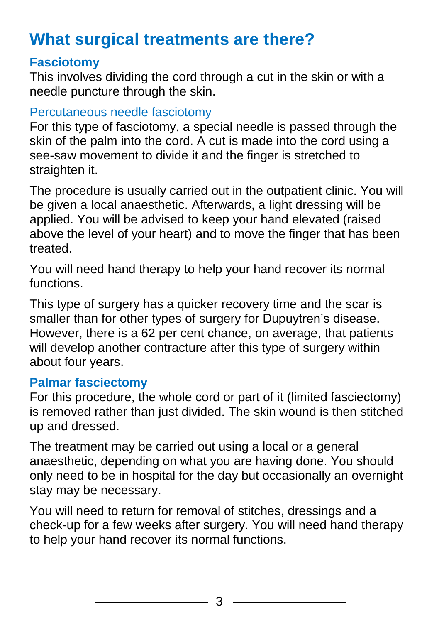# **What surgical treatments are there?**

### **Fasciotomy**

This involves dividing the cord through a cut in the skin or with a needle puncture through the skin.

### Percutaneous needle fasciotomy

For this type of fasciotomy, a special needle is passed through the skin of the palm into the cord. A cut is made into the cord using a see-saw movement to divide it and the finger is stretched to straighten it.

The procedure is usually carried out in the outpatient clinic. You will be given a local anaesthetic. Afterwards, a light dressing will be applied. You will be advised to keep your hand elevated (raised above the level of your heart) and to move the finger that has been treated.

You will need hand therapy to help your hand recover its normal functions.

This type of surgery has a quicker recovery time and the scar is smaller than for other types of surgery for Dupuytren's disease. However, there is a 62 per cent chance, on average, that patients will develop another contracture after this type of surgery within about four years.

### **Palmar fasciectomy**

For this procedure, the whole cord or part of it (limited fasciectomy) is removed rather than just divided. The skin wound is then stitched up and dressed.

The treatment may be carried out using a local or a general anaesthetic, depending on what you are having done. You should only need to be in hospital for the day but occasionally an overnight stay may be necessary.

You will need to return for removal of stitches, dressings and a check-up for a few weeks after surgery. You will need hand therapy to help your hand recover its normal functions.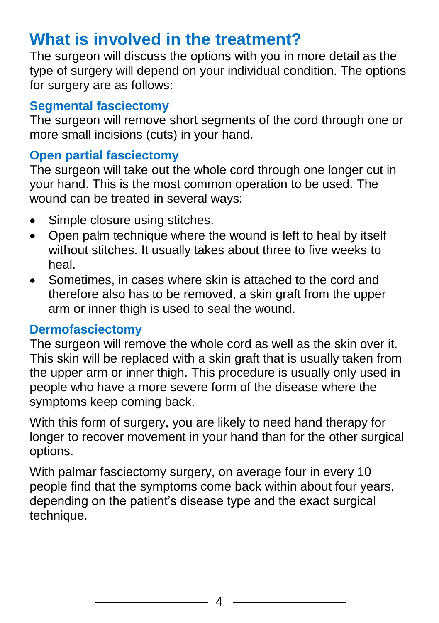# **What is involved in the treatment?**

The surgeon will discuss the options with you in more detail as the type of surgery will depend on your individual condition. The options for surgery are as follows:

### **Segmental fasciectomy**

The surgeon will remove short segments of the cord through one or more small incisions (cuts) in your hand.

### **Open partial fasciectomy**

The surgeon will take out the whole cord through one longer cut in your hand. This is the most common operation to be used. The wound can be treated in several ways:

- Simple closure using stitches.
- Open palm technique where the wound is left to heal by itself without stitches. It usually takes about three to five weeks to heal.
- Sometimes, in cases where skin is attached to the cord and therefore also has to be removed, a skin graft from the upper arm or inner thigh is used to seal the wound.

### **Dermofasciectomy**

The surgeon will remove the whole cord as well as the skin over it. This skin will be replaced with a skin graft that is usually taken from the upper arm or inner thigh. This procedure is usually only used in people who have a more severe form of the disease where the symptoms keep coming back.

With this form of surgery, you are likely to need hand therapy for longer to recover movement in your hand than for the other surgical options.

With palmar fasciectomy surgery, on average four in every 10 people find that the symptoms come back within about four years, depending on the patient's disease type and the exact surgical technique.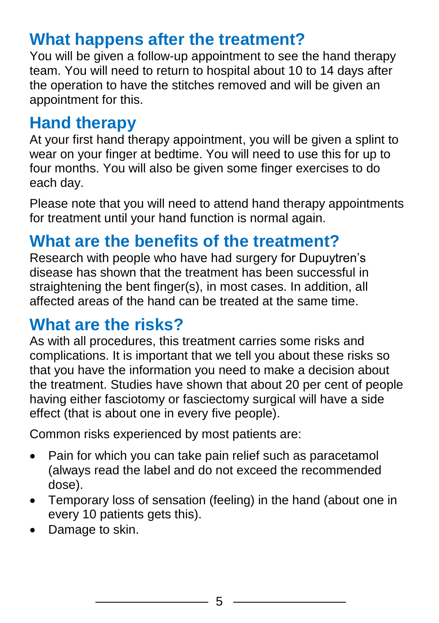# **What happens after the treatment?**

You will be given a follow-up appointment to see the hand therapy team. You will need to return to hospital about 10 to 14 days after the operation to have the stitches removed and will be given an appointment for this.

# **Hand therapy**

At your first hand therapy appointment, you will be given a splint to wear on your finger at bedtime. You will need to use this for up to four months. You will also be given some finger exercises to do each day.

Please note that you will need to attend hand therapy appointments for treatment until your hand function is normal again.

# **What are the benefits of the treatment?**

Research with people who have had surgery for Dupuytren's disease has shown that the treatment has been successful in straightening the bent finger(s), in most cases. In addition, all affected areas of the hand can be treated at the same time.

# **What are the risks?**

As with all procedures, this treatment carries some risks and complications. It is important that we tell you about these risks so that you have the information you need to make a decision about the treatment. Studies have shown that about 20 per cent of people having either fasciotomy or fasciectomy surgical will have a side effect (that is about one in every five people).

Common risks experienced by most patients are:

- Pain for which you can take pain relief such as paracetamol (always read the label and do not exceed the recommended dose).
- Temporary loss of sensation (feeling) in the hand (about one in every 10 patients gets this).
- Damage to skin.

5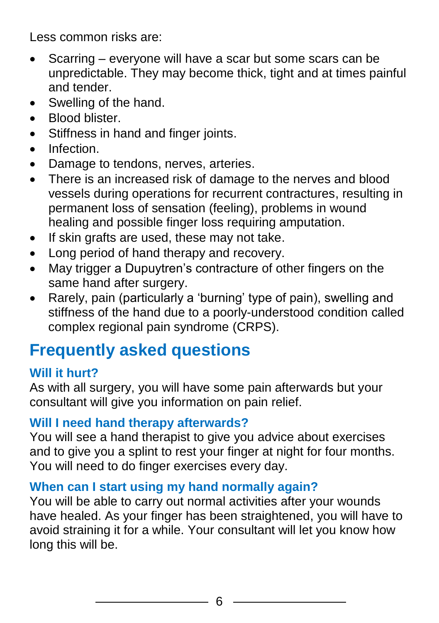Less common risks are:

- Scarring everyone will have a scar but some scars can be unpredictable. They may become thick, tight and at times painful and tender.
- Swelling of the hand.
- Blood blister.
- Stiffness in hand and finger joints.
- Infection
- Damage to tendons, nerves, arteries.
- There is an increased risk of damage to the nerves and blood vessels during operations for recurrent contractures, resulting in permanent loss of sensation (feeling), problems in wound healing and possible finger loss requiring amputation.
- If skin grafts are used, these may not take.
- Long period of hand therapy and recovery.
- May trigger a Dupuytren's contracture of other fingers on the same hand after surgery.
- Rarely, pain (particularly a 'burning' type of pain), swelling and stiffness of the hand due to a poorly-understood condition called complex regional pain syndrome (CRPS).

# **Frequently asked questions**

### **Will it hurt?**

As with all surgery, you will have some pain afterwards but your consultant will give you information on pain relief.

### **Will I need hand therapy afterwards?**

You will see a hand therapist to give you advice about exercises and to give you a splint to rest your finger at night for four months. You will need to do finger exercises every day.

### **When can I start using my hand normally again?**

You will be able to carry out normal activities after your wounds have healed. As your finger has been straightened, you will have to avoid straining it for a while. Your consultant will let you know how long this will be.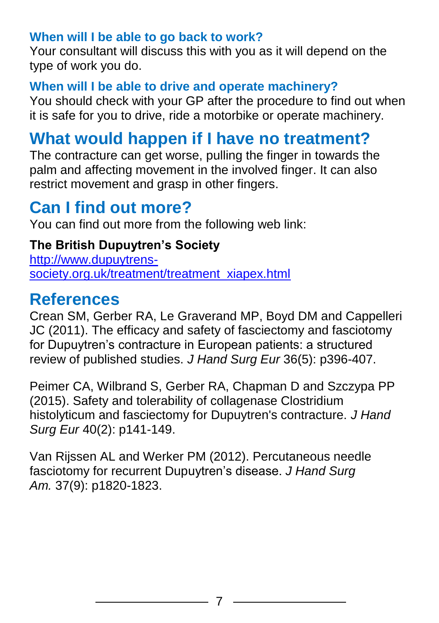### **When will I be able to go back to work?**

Your consultant will discuss this with you as it will depend on the type of work you do.

### **When will I be able to drive and operate machinery?**

You should check with your GP after the procedure to find out when it is safe for you to drive, ride a motorbike or operate machinery.

# **What would happen if I have no treatment?**

The contracture can get worse, pulling the finger in towards the palm and affecting movement in the involved finger. It can also restrict movement and grasp in other fingers.

# **Can I find out more?**

You can find out more from the following web link:

### **The British Dupuytren's Society**

[http://www.dupuytrens](http://www.dupuytrens-society.org.uk/treatment/treatment_xiapex.html)[society.org.uk/treatment/treatment\\_xiapex.html](http://www.dupuytrens-society.org.uk/treatment/treatment_xiapex.html)

### **References**

Crean SM, Gerber RA, Le Graverand MP, Boyd DM and Cappelleri JC (2011). The efficacy and safety of fasciectomy and fasciotomy for Dupuytren's contracture in European patients: a structured review of published studies. *J Hand Surg Eur* 36(5): p396-407.

Peimer CA, Wilbrand S, Gerber RA, Chapman D and Szczypa PP (2015). Safety and tolerability of collagenase Clostridium histolyticum and fasciectomy for Dupuytren's contracture. *J Hand Surg Eur* 40(2): p141-149.

Van Rijssen AL and Werker PM (2012). Percutaneous needle fasciotomy for recurrent Dupuytren's disease. *J Hand Surg Am.* 37(9): p1820-1823.